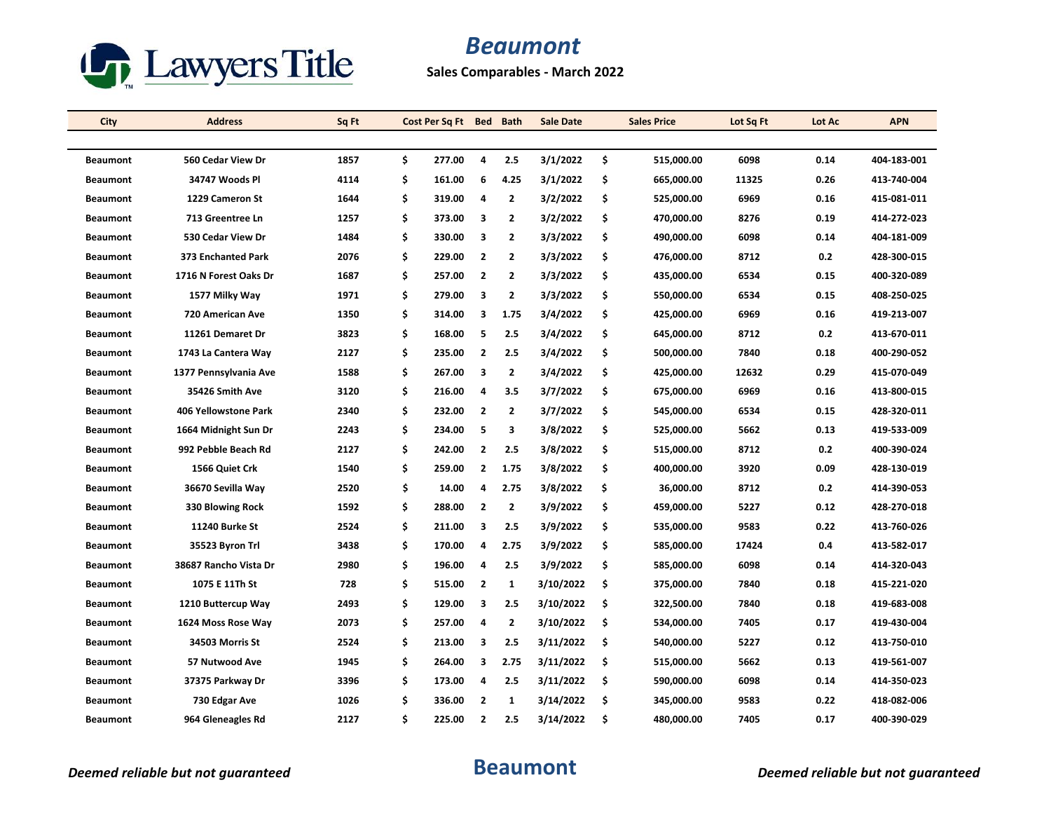

**Sales Comparables - March 2022**

| City            | <b>Address</b>        | Sq Ft | Cost Per Sq Ft Bed Bath |                |                         | <b>Sale Date</b> |     | <b>Sales Price</b> | Lot Sq Ft | Lot Ac | <b>APN</b>  |
|-----------------|-----------------------|-------|-------------------------|----------------|-------------------------|------------------|-----|--------------------|-----------|--------|-------------|
|                 |                       |       |                         |                |                         |                  |     |                    |           |        |             |
| <b>Beaumont</b> | 560 Cedar View Dr     | 1857  | \$<br>277.00            | 4              | 2.5                     | 3/1/2022         | \$  | 515,000.00         | 6098      | 0.14   | 404-183-001 |
| <b>Beaumont</b> | 34747 Woods Pl        | 4114  | \$<br>161.00            | 6              | 4.25                    | 3/1/2022         | \$  | 665,000.00         | 11325     | 0.26   | 413-740-004 |
| <b>Beaumont</b> | 1229 Cameron St       | 1644  | \$<br>319.00            | 4              | $\overline{2}$          | 3/2/2022         | \$  | 525,000.00         | 6969      | 0.16   | 415-081-011 |
| <b>Beaumont</b> | 713 Greentree Ln      | 1257  | \$<br>373.00            | 3              | 2                       | 3/2/2022         | \$  | 470,000.00         | 8276      | 0.19   | 414-272-023 |
| <b>Beaumont</b> | 530 Cedar View Dr     | 1484  | \$<br>330.00            | 3              | $\overline{2}$          | 3/3/2022         | \$  | 490,000.00         | 6098      | 0.14   | 404-181-009 |
| <b>Beaumont</b> | 373 Enchanted Park    | 2076  | \$<br>229.00            | 2              | $\overline{2}$          | 3/3/2022         | \$  | 476,000.00         | 8712      | 0.2    | 428-300-015 |
| <b>Beaumont</b> | 1716 N Forest Oaks Dr | 1687  | \$<br>257.00            | $\overline{2}$ | $\overline{2}$          | 3/3/2022         | \$  | 435,000.00         | 6534      | 0.15   | 400-320-089 |
| <b>Beaumont</b> | 1577 Milky Way        | 1971  | \$<br>279.00            | 3              | $\overline{2}$          | 3/3/2022         | \$  | 550,000.00         | 6534      | 0.15   | 408-250-025 |
| <b>Beaumont</b> | 720 American Ave      | 1350  | \$<br>314.00            | 3              | 1.75                    | 3/4/2022         | \$  | 425,000.00         | 6969      | 0.16   | 419-213-007 |
| <b>Beaumont</b> | 11261 Demaret Dr      | 3823  | \$<br>168.00            | 5              | 2.5                     | 3/4/2022         | \$  | 645,000.00         | 8712      | 0.2    | 413-670-011 |
| <b>Beaumont</b> | 1743 La Cantera Way   | 2127  | \$<br>235.00            | $\overline{2}$ | 2.5                     | 3/4/2022         | \$  | 500,000.00         | 7840      | 0.18   | 400-290-052 |
| <b>Beaumont</b> | 1377 Pennsylvania Ave | 1588  | \$<br>267.00            | 3              | $\overline{2}$          | 3/4/2022         | \$  | 425,000.00         | 12632     | 0.29   | 415-070-049 |
| <b>Beaumont</b> | 35426 Smith Ave       | 3120  | \$<br>216.00            | 4              | 3.5                     | 3/7/2022         | \$  | 675,000.00         | 6969      | 0.16   | 413-800-015 |
| <b>Beaumont</b> | 406 Yellowstone Park  | 2340  | \$<br>232.00            | $\overline{2}$ | $\overline{2}$          | 3/7/2022         | \$  | 545,000.00         | 6534      | 0.15   | 428-320-011 |
| <b>Beaumont</b> | 1664 Midnight Sun Dr  | 2243  | \$<br>234.00            | 5              | 3                       | 3/8/2022         | \$  | 525,000.00         | 5662      | 0.13   | 419-533-009 |
| <b>Beaumont</b> | 992 Pebble Beach Rd   | 2127  | \$<br>242.00            | $\overline{2}$ | 2.5                     | 3/8/2022         | \$  | 515,000.00         | 8712      | 0.2    | 400-390-024 |
| <b>Beaumont</b> | 1566 Quiet Crk        | 1540  | \$<br>259.00            | $\overline{2}$ | 1.75                    | 3/8/2022         | \$  | 400,000.00         | 3920      | 0.09   | 428-130-019 |
| <b>Beaumont</b> | 36670 Sevilla Way     | 2520  | \$<br>14.00             | 4              | 2.75                    | 3/8/2022         | \$  | 36,000.00          | 8712      | 0.2    | 414-390-053 |
| <b>Beaumont</b> | 330 Blowing Rock      | 1592  | \$<br>288.00            | $\overline{2}$ | $\overline{\mathbf{2}}$ | 3/9/2022         | \$  | 459,000.00         | 5227      | 0.12   | 428-270-018 |
| <b>Beaumont</b> | <b>11240 Burke St</b> | 2524  | \$<br>211.00            | 3              | 2.5                     | 3/9/2022         | \$. | 535,000.00         | 9583      | 0.22   | 413-760-026 |
| <b>Beaumont</b> | 35523 Byron Trl       | 3438  | \$<br>170.00            | 4              | 2.75                    | 3/9/2022         | \$  | 585,000.00         | 17424     | 0.4    | 413-582-017 |
| <b>Beaumont</b> | 38687 Rancho Vista Dr | 2980  | \$<br>196.00            | 4              | 2.5                     | 3/9/2022         | \$  | 585,000.00         | 6098      | 0.14   | 414-320-043 |
| <b>Beaumont</b> | 1075 E 11Th St        | 728   | \$<br>515.00            | 2              | 1                       | 3/10/2022        | \$  | 375,000.00         | 7840      | 0.18   | 415-221-020 |
| <b>Beaumont</b> | 1210 Buttercup Way    | 2493  | \$<br>129.00            | 3              | 2.5                     | 3/10/2022        | \$  | 322,500.00         | 7840      | 0.18   | 419-683-008 |
| <b>Beaumont</b> | 1624 Moss Rose Way    | 2073  | \$<br>257.00            | 4              | $\overline{2}$          | 3/10/2022        | \$  | 534,000.00         | 7405      | 0.17   | 419-430-004 |
| <b>Beaumont</b> | 34503 Morris St       | 2524  | \$<br>213.00            | 3              | 2.5                     | 3/11/2022        | \$  | 540,000.00         | 5227      | 0.12   | 413-750-010 |
| <b>Beaumont</b> | 57 Nutwood Ave        | 1945  | \$<br>264.00            | 3              | 2.75                    | 3/11/2022        | \$  | 515,000.00         | 5662      | 0.13   | 419-561-007 |
| <b>Beaumont</b> | 37375 Parkway Dr      | 3396  | \$<br>173.00            | 4              | 2.5                     | 3/11/2022        | \$  | 590,000.00         | 6098      | 0.14   | 414-350-023 |
| <b>Beaumont</b> | 730 Edgar Ave         | 1026  | \$<br>336.00            | 2              | 1                       | 3/14/2022        | \$  | 345,000.00         | 9583      | 0.22   | 418-082-006 |
| <b>Beaumont</b> | 964 Gleneagles Rd     | 2127  | \$<br>225.00            | $\overline{2}$ | 2.5                     | 3/14/2022        | \$  | 480,000.00         | 7405      | 0.17   | 400-390-029 |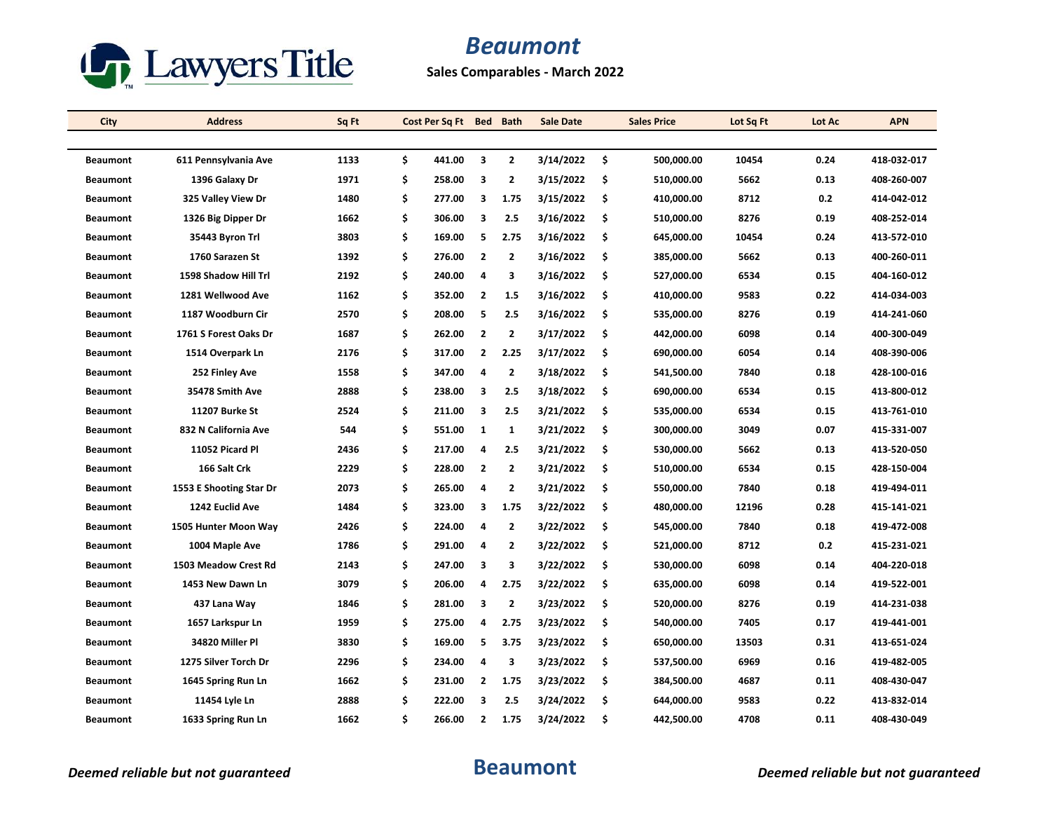

**Sales Comparables - March 2022**

| City            | <b>Address</b>          | Sq Ft | Cost Per Sq Ft Bed Bath |                |                         | <b>Sale Date</b> |     | <b>Sales Price</b> | Lot Sq Ft | Lot Ac | <b>APN</b>  |
|-----------------|-------------------------|-------|-------------------------|----------------|-------------------------|------------------|-----|--------------------|-----------|--------|-------------|
|                 |                         |       |                         |                |                         |                  |     |                    |           |        |             |
| <b>Beaumont</b> | 611 Pennsylvania Ave    | 1133  | \$<br>441.00            | 3              | $\overline{2}$          | 3/14/2022        | \$  | 500,000.00         | 10454     | 0.24   | 418-032-017 |
| <b>Beaumont</b> | 1396 Galaxy Dr          | 1971  | \$<br>258.00            | 3              | $\overline{2}$          | 3/15/2022        | \$  | 510,000.00         | 5662      | 0.13   | 408-260-007 |
| <b>Beaumont</b> | 325 Valley View Dr      | 1480  | \$<br>277.00            | 3              | 1.75                    | 3/15/2022        | \$  | 410,000.00         | 8712      | 0.2    | 414-042-012 |
| <b>Beaumont</b> | 1326 Big Dipper Dr      | 1662  | \$<br>306.00            | 3              | 2.5                     | 3/16/2022        | \$  | 510,000.00         | 8276      | 0.19   | 408-252-014 |
| <b>Beaumont</b> | 35443 Byron Trl         | 3803  | \$<br>169.00            | 5              | 2.75                    | 3/16/2022        | \$  | 645,000.00         | 10454     | 0.24   | 413-572-010 |
| <b>Beaumont</b> | 1760 Sarazen St         | 1392  | \$<br>276.00            | $\overline{2}$ | $\overline{2}$          | 3/16/2022        | \$. | 385,000.00         | 5662      | 0.13   | 400-260-011 |
| <b>Beaumont</b> | 1598 Shadow Hill Trl    | 2192  | \$<br>240.00            | 4              | 3                       | 3/16/2022        | \$  | 527,000.00         | 6534      | 0.15   | 404-160-012 |
| <b>Beaumont</b> | 1281 Wellwood Ave       | 1162  | \$<br>352.00            | $\overline{2}$ | 1.5                     | 3/16/2022        | \$  | 410,000.00         | 9583      | 0.22   | 414-034-003 |
| <b>Beaumont</b> | 1187 Woodburn Cir       | 2570  | \$<br>208.00            | 5              | 2.5                     | 3/16/2022        | \$  | 535,000.00         | 8276      | 0.19   | 414-241-060 |
| <b>Beaumont</b> | 1761 S Forest Oaks Dr   | 1687  | \$<br>262.00            | $\overline{2}$ | $\overline{2}$          | 3/17/2022        | \$  | 442,000.00         | 6098      | 0.14   | 400-300-049 |
| <b>Beaumont</b> | 1514 Overpark Ln        | 2176  | \$<br>317.00            | 2              | 2.25                    | 3/17/2022        | \$  | 690,000.00         | 6054      | 0.14   | 408-390-006 |
| <b>Beaumont</b> | 252 Finley Ave          | 1558  | \$<br>347.00            | 4              | $\overline{\mathbf{2}}$ | 3/18/2022        | \$  | 541,500.00         | 7840      | 0.18   | 428-100-016 |
| <b>Beaumont</b> | 35478 Smith Ave         | 2888  | \$<br>238.00            | 3              | 2.5                     | 3/18/2022        | \$. | 690,000.00         | 6534      | 0.15   | 413-800-012 |
| <b>Beaumont</b> | <b>11207 Burke St</b>   | 2524  | \$<br>211.00            | 3              | 2.5                     | 3/21/2022        | \$  | 535,000.00         | 6534      | 0.15   | 413 761 010 |
| <b>Beaumont</b> | 832 N California Ave    | 544   | \$<br>551.00            | 1              | 1                       | 3/21/2022        | \$  | 300,000.00         | 3049      | 0.07   | 415-331-007 |
| <b>Beaumont</b> | 11052 Picard Pl         | 2436  | \$<br>217.00            | 4              | 2.5                     | 3/21/2022        | \$  | 530,000.00         | 5662      | 0.13   | 413-520-050 |
| <b>Beaumont</b> | 166 Salt Crk            | 2229  | \$<br>228.00            | $\overline{2}$ | $\overline{2}$          | 3/21/2022        | \$  | 510,000.00         | 6534      | 0.15   | 428-150-004 |
| <b>Beaumont</b> | 1553 E Shooting Star Dr | 2073  | \$<br>265.00            | 4              | $\overline{2}$          | 3/21/2022        | \$  | 550,000.00         | 7840      | 0.18   | 419-494-011 |
| <b>Beaumont</b> | 1242 Euclid Ave         | 1484  | \$<br>323.00            | 3              | 1.75                    | 3/22/2022        | \$  | 480,000.00         | 12196     | 0.28   | 415-141-021 |
| <b>Beaumont</b> | 1505 Hunter Moon Way    | 2426  | \$<br>224.00            | 4              | $\overline{2}$          | 3/22/2022        | \$. | 545,000.00         | 7840      | 0.18   | 419 472 008 |
| <b>Beaumont</b> | 1004 Maple Ave          | 1786  | \$<br>291.00            | 4              | $\overline{2}$          | 3/22/2022        | \$  | 521,000.00         | 8712      | 0.2    | 415-231-021 |
| <b>Beaumont</b> | 1503 Meadow Crest Rd    | 2143  | \$<br>247.00            | з              | 3                       | 3/22/2022        | \$  | 530,000.00         | 6098      | 0.14   | 404-220-018 |
| <b>Beaumont</b> | 1453 New Dawn Ln        | 3079  | \$<br>206.00            | 4              | 2.75                    | 3/22/2022        | \$  | 635,000.00         | 6098      | 0.14   | 419-522-001 |
| <b>Beaumont</b> | 437 Lana Way            | 1846  | \$<br>281.00            | 3              | $\overline{2}$          | 3/23/2022        | \$  | 520,000.00         | 8276      | 0.19   | 414-231-038 |
| <b>Beaumont</b> | 1657 Larkspur Ln        | 1959  | \$<br>275.00            | 4              | 2.75                    | 3/23/2022        | \$  | 540,000.00         | 7405      | 0.17   | 419-441-001 |
| <b>Beaumont</b> | 34820 Miller Pl         | 3830  | \$<br>169.00            | 5              | 3.75                    | 3/23/2022        | \$  | 650,000.00         | 13503     | 0.31   | 413-651-024 |
| <b>Beaumont</b> | 1275 Silver Torch Dr    | 2296  | \$<br>234.00            | 4              | 3                       | 3/23/2022        | \$  | 537,500.00         | 6969      | 0.16   | 419-482-005 |
| <b>Beaumont</b> | 1645 Spring Run Ln      | 1662  | \$<br>231.00            | $\mathbf{2}$   | 1.75                    | 3/23/2022        | \$  | 384,500.00         | 4687      | 0.11   | 408-430-047 |
| <b>Beaumont</b> | 11454 Lyle Ln           | 2888  | \$<br>222.00            | 3              | 2.5                     | 3/24/2022        | \$  | 644,000.00         | 9583      | 0.22   | 413-832-014 |
| <b>Beaumont</b> | 1633 Spring Run Ln      | 1662  | \$<br>266.00            | $\overline{2}$ | 1.75                    | 3/24/2022        | Ś   | 442,500.00         | 4708      | 0.11   | 408-430-049 |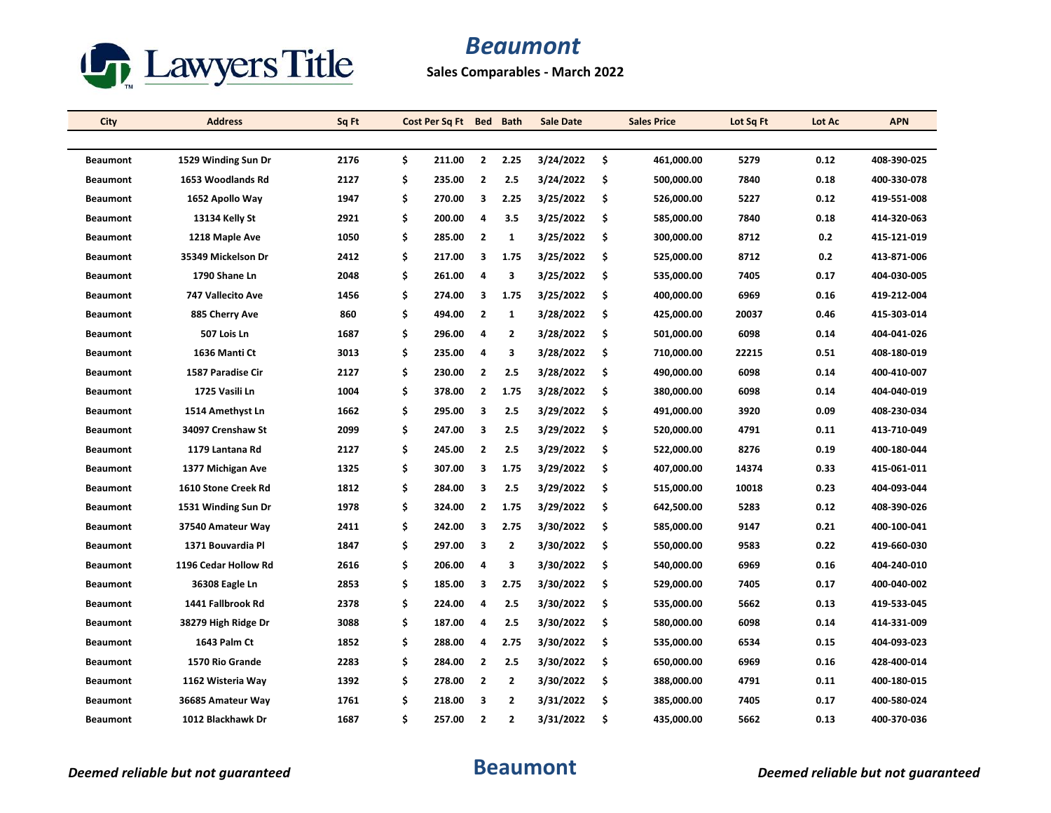

**Sales Comparables - March 2022**

| City            | <b>Address</b>       | Sq Ft | Cost Per Sq Ft Bed Bath |                         |                | <b>Sale Date</b> | <b>Sales Price</b> | Lot Sq Ft | Lot Ac | <b>APN</b>  |
|-----------------|----------------------|-------|-------------------------|-------------------------|----------------|------------------|--------------------|-----------|--------|-------------|
|                 |                      |       |                         |                         |                |                  |                    |           |        |             |
| <b>Beaumont</b> | 1529 Winding Sun Dr  | 2176  | \$<br>211.00            | $\overline{2}$          | 2.25           | 3/24/2022        | \$<br>461,000.00   | 5279      | 0.12   | 408-390-025 |
| <b>Beaumont</b> | 1653 Woodlands Rd    | 2127  | \$<br>235.00            | $\overline{2}$          | 2.5            | 3/24/2022        | \$<br>500,000.00   | 7840      | 0.18   | 400-330-078 |
| <b>Beaumont</b> | 1652 Apollo Way      | 1947  | \$<br>270.00            | 3                       | 2.25           | 3/25/2022        | \$<br>526,000.00   | 5227      | 0.12   | 419-551-008 |
| <b>Beaumont</b> | 13134 Kelly St       | 2921  | \$<br>200.00            | 4                       | 3.5            | 3/25/2022        | \$<br>585,000.00   | 7840      | 0.18   | 414-320-063 |
| <b>Beaumont</b> | 1218 Maple Ave       | 1050  | \$<br>285.00            | $\overline{2}$          | 1              | 3/25/2022        | \$<br>300,000.00   | 8712      | 0.2    | 415-121-019 |
| <b>Beaumont</b> | 35349 Mickelson Dr   | 2412  | \$<br>217.00            | 3                       | 1.75           | 3/25/2022        | \$<br>525,000.00   | 8712      | 0.2    | 413-871-006 |
| <b>Beaumont</b> | 1790 Shane Ln        | 2048  | \$<br>261.00            | 4                       | 3              | 3/25/2022        | \$<br>535,000.00   | 7405      | 0.17   | 404-030-005 |
| <b>Beaumont</b> | 747 Vallecito Ave    | 1456  | \$<br>274.00            | 3                       | 1.75           | 3/25/2022        | \$<br>400,000.00   | 6969      | 0.16   | 419-212-004 |
| <b>Beaumont</b> | 885 Cherry Ave       | 860   | \$<br>494.00            | $\overline{2}$          | 1              | 3/28/2022        | \$<br>425,000.00   | 20037     | 0.46   | 415-303-014 |
| <b>Beaumont</b> | 507 Lois Ln          | 1687  | \$<br>296.00            | 4                       | $\overline{2}$ | 3/28/2022        | \$<br>501,000.00   | 6098      | 0.14   | 404-041-026 |
| <b>Beaumont</b> | 1636 Manti Ct        | 3013  | \$<br>235.00            | 4                       | 3              | 3/28/2022        | \$<br>710,000.00   | 22215     | 0.51   | 408-180-019 |
| <b>Beaumont</b> | 1587 Paradise Cir    | 2127  | \$<br>230.00            | $\overline{2}$          | 2.5            | 3/28/2022        | \$<br>490,000.00   | 6098      | 0.14   | 400-410-007 |
| <b>Beaumont</b> | 1725 Vasili Ln       | 1004  | \$<br>378.00            | $\overline{2}$          | 1.75           | 3/28/2022        | \$<br>380,000.00   | 6098      | 0.14   | 404-040-019 |
| <b>Beaumont</b> | 1514 Amethyst Ln     | 1662  | \$<br>295.00            | 3                       | 2.5            | 3/29/2022        | \$<br>491,000.00   | 3920      | 0.09   | 408-230-034 |
| <b>Beaumont</b> | 34097 Crenshaw St    | 2099  | \$<br>247.00            | 3                       | 2.5            | 3/29/2022        | \$<br>520,000.00   | 4791      | 0.11   | 413-710-049 |
| <b>Beaumont</b> | 1179 Lantana Rd      | 2127  | \$<br>245.00            | $\overline{2}$          | 2.5            | 3/29/2022        | \$<br>522,000.00   | 8276      | 0.19   | 400-180-044 |
| <b>Beaumont</b> | 1377 Michigan Ave    | 1325  | \$<br>307.00            | 3                       | 1.75           | 3/29/2022        | \$<br>407,000.00   | 14374     | 0.33   | 415-061-011 |
| <b>Beaumont</b> | 1610 Stone Creek Rd  | 1812  | \$<br>284.00            | 3                       | 2.5            | 3/29/2022        | \$<br>515,000.00   | 10018     | 0.23   | 404-093-044 |
| <b>Beaumont</b> | 1531 Winding Sun Dr  | 1978  | \$<br>324.00            | $\overline{2}$          | 1.75           | 3/29/2022        | \$<br>642,500.00   | 5283      | 0.12   | 408-390-026 |
| <b>Beaumont</b> | 37540 Amateur Way    | 2411  | \$<br>242.00            | 3                       | 2.75           | 3/30/2022        | \$<br>585,000.00   | 9147      | 0.21   | 400-100-041 |
| <b>Beaumont</b> | 1371 Bouvardia Pl    | 1847  | \$<br>297.00            | 3                       | $\overline{2}$ | 3/30/2022        | \$<br>550,000.00   | 9583      | 0.22   | 419-660-030 |
| <b>Beaumont</b> | 1196 Cedar Hollow Rd | 2616  | \$<br>206.00            | 4                       | 3              | 3/30/2022        | \$<br>540,000.00   | 6969      | 0.16   | 404-240-010 |
| <b>Beaumont</b> | 36308 Eagle Ln       | 2853  | \$<br>185.00            | 3                       | 2.75           | 3/30/2022        | \$<br>529,000.00   | 7405      | 0.17   | 400-040-002 |
| <b>Beaumont</b> | 1441 Fallbrook Rd    | 2378  | \$<br>224.00            | 4                       | 2.5            | 3/30/2022        | \$<br>535,000.00   | 5662      | 0.13   | 419-533-045 |
| <b>Beaumont</b> | 38279 High Ridge Dr  | 3088  | \$<br>187.00            | 4                       | 2.5            | 3/30/2022        | \$<br>580,000.00   | 6098      | 0.14   | 414 331 009 |
| <b>Beaumont</b> | 1643 Palm Ct         | 1852  | \$<br>288.00            | 4                       | 2.75           | 3/30/2022        | \$<br>535,000.00   | 6534      | 0.15   | 404-093-023 |
| <b>Beaumont</b> | 1570 Rio Grande      | 2283  | \$<br>284.00            | $\overline{2}$          | 2.5            | 3/30/2022        | \$<br>650,000.00   | 6969      | 0.16   | 428-400-014 |
| <b>Beaumont</b> | 1162 Wisteria Way    | 1392  | \$<br>278.00            | $\overline{\mathbf{2}}$ | $\overline{2}$ | 3/30/2022        | \$<br>388,000.00   | 4791      | 0.11   | 400-180-015 |
| <b>Beaumont</b> | 36685 Amateur Way    | 1761  | \$<br>218.00            | 3                       | $\overline{2}$ | 3/31/2022        | \$<br>385,000.00   | 7405      | 0.17   | 400-580-024 |
| <b>Beaumont</b> | 1012 Blackhawk Dr    | 1687  | \$<br>257.00            | $\overline{2}$          | $\overline{2}$ | 3/31/2022        | \$<br>435,000.00   | 5662      | 0.13   | 400-370-036 |